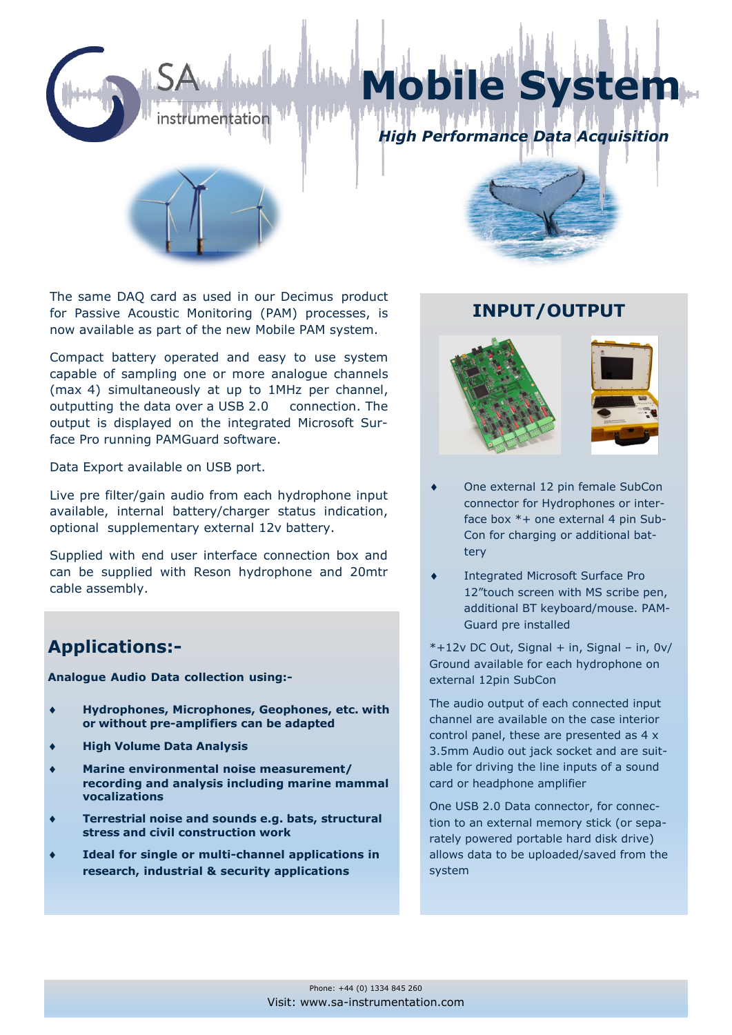

The same DAQ card as used in our Decimus product for Passive Acoustic Monitoring (PAM) processes, is now available as part of the new Mobile PAM system.

Compact battery operated and easy to use system capable of sampling one or more analogue channels (max 4) simultaneously at up to 1MHz per channel, outputting the data over a USB 2.0 connection. The output is displayed on the integrated Microsoft Surface Pro running PAMGuard software.

Data Export available on USB port.

Live pre filter/gain audio from each hydrophone input available, internal battery/charger status indication, optional supplementary external 12v battery.

Supplied with end user interface connection box and can be supplied with Reson hydrophone and 20mtr cable assembly.

## **Applications:-**

**Analogue Audio Data collection using:-**

- **Hydrophones, Microphones, Geophones, etc. with or without pre-amplifiers can be adapted**
- **High Volume Data Analysis**
- **Marine environmental noise measurement/ recording and analysis including marine mammal vocalizations**
- **Terrestrial noise and sounds e.g. bats, structural stress and civil construction work**
- **Ideal for single or multi-channel applications in research, industrial & security applications**

## **INPUT/OUTPUT**



- One external 12 pin female SubCon connector for Hydrophones or interface box \*+ one external 4 pin Sub-Con for charging or additional battery
- Integrated Microsoft Surface Pro 12"touch screen with MS scribe pen, additional BT keyboard/mouse. PAM-Guard pre installed

\*+12v DC Out, Signal + in, Signal – in, 0v/ Ground available for each hydrophone on external 12pin SubCon

The audio output of each connected input channel are available on the case interior control panel, these are presented as 4 x 3.5mm Audio out jack socket and are suitable for driving the line inputs of a sound card or headphone amplifier

One USB 2.0 Data connector, for connection to an external memory stick (or separately powered portable hard disk drive) allows data to be uploaded/saved from the system